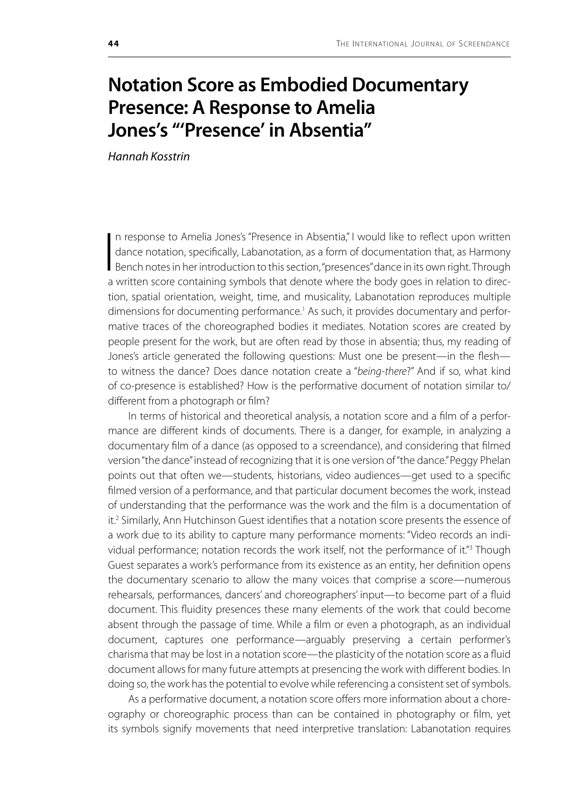## **Notation Score as Embodied Documentary Presence: A Response to Amelia Jones's "'Presence' in Absentia"**

*Hannah Kosstrin*

 $\overline{\phantom{a}}$ n response to Amelia Jones's "Presence in Absentia," I would like to reflect upon written dance notation, specifically, Labanotation, as a form of documentation that, as Harmony Bench notes in her introduction to this section, "presences" dance in its own right. Through a written score containing symbols that denote where the body goes in relation to direction, spatial orientation, weight, time, and musicality, Labanotation reproduces multiple dimensions for documenting performance.<sup>1</sup> As such, it provides documentary and performative traces of the choreographed bodies it mediates. Notation scores are created by people present for the work, but are often read by those in absentia; thus, my reading of Jones's article generated the following questions: Must one be present—in the flesh to witness the dance? Does dance notation create a "*being-there*?" And if so, what kind of co-presence is established? How is the performative document of notation similar to/ different from a photograph or film?

In terms of historical and theoretical analysis, a notation score and a film of a performance are different kinds of documents. There is a danger, for example, in analyzing a documentary film of a dance (as opposed to a screendance), and considering that filmed version "the dance" instead of recognizing that it is one version of "the dance." Peggy Phelan points out that often we—students, historians, video audiences—get used to a specific filmed version of a performance, and that particular document becomes the work, instead of understanding that the performance was the work and the film is a documentation of it.<sup>2</sup> Similarly, Ann Hutchinson Guest identifies that a notation score presents the essence of a work due to its ability to capture many performance moments: "Video records an individual performance; notation records the work itself, not the performance of it."<sup>3</sup> Though Guest separates a work's performance from its existence as an entity, her definition opens the documentary scenario to allow the many voices that comprise a score—numerous rehearsals, performances, dancers' and choreographers' input—to become part of a fluid document. This fluidity presences these many elements of the work that could become absent through the passage of time. While a film or even a photograph, as an individual document, captures one performance—arguably preserving a certain performer's charisma that may be lost in a notation score—the plasticity of the notation score as a fluid document allows for many future attempts at presencing the work with different bodies. In doing so, the work has the potential to evolve while referencing a consistent set of symbols.

As a performative document, a notation score offers more information about a choreography or choreographic process than can be contained in photography or film, yet its symbols signify movements that need interpretive translation: Labanotation requires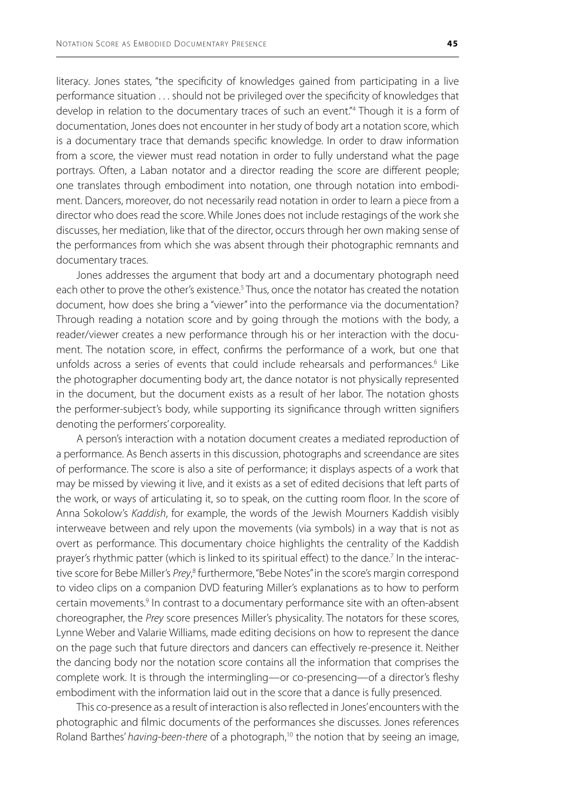literacy. Jones states, "the specificity of knowledges gained from participating in a live performance situation . . . should not be privileged over the specificity of knowledges that develop in relation to the documentary traces of such an event."4 Though it is a form of documentation, Jones does not encounter in her study of body art a notation score, which is a documentary trace that demands specific knowledge. In order to draw information from a score, the viewer must read notation in order to fully understand what the page portrays. Often, a Laban notator and a director reading the score are different people; one translates through embodiment into notation, one through notation into embodiment. Dancers, moreover, do not necessarily read notation in order to learn a piece from a director who does read the score. While Jones does not include restagings of the work she discusses, her mediation, like that of the director, occurs through her own making sense of the performances from which she was absent through their photographic remnants and documentary traces.

Jones addresses the argument that body art and a documentary photograph need each other to prove the other's existence.<sup>5</sup> Thus, once the notator has created the notation document, how does she bring a "viewer" into the performance via the documentation? Through reading a notation score and by going through the motions with the body, a reader/viewer creates a new performance through his or her interaction with the document. The notation score, in effect, confirms the performance of a work, but one that unfolds across a series of events that could include rehearsals and performances.<sup>6</sup> Like the photographer documenting body art, the dance notator is not physically represented in the document, but the document exists as a result of her labor. The notation ghosts the performer-subject's body, while supporting its significance through written signifiers denoting the performers' corporeality.

A person's interaction with a notation document creates a mediated reproduction of a performance. As Bench asserts in this discussion, photographs and screendance are sites of performance. The score is also a site of performance; it displays aspects of a work that may be missed by viewing it live, and it exists as a set of edited decisions that left parts of the work, or ways of articulating it, so to speak, on the cutting room floor. In the score of Anna Sokolow's *Kaddish*, for example, the words of the Jewish Mourners Kaddish visibly interweave between and rely upon the movements (via symbols) in a way that is not as overt as performance. This documentary choice highlights the centrality of the Kaddish prayer's rhythmic patter (which is linked to its spiritual effect) to the dance.<sup>7</sup> In the interactive score for Bebe Miller's Prey,<sup>8</sup> furthermore, "Bebe Notes" in the score's margin correspond to video clips on a companion DVD featuring Miller's explanations as to how to perform certain movements.<sup>9</sup> In contrast to a documentary performance site with an often-absent choreographer, the *Prey* score presences Miller's physicality. The notators for these scores, Lynne Weber and Valarie Williams, made editing decisions on how to represent the dance on the page such that future directors and dancers can effectively re-presence it. Neither the dancing body nor the notation score contains all the information that comprises the complete work. It is through the intermingling—or co-presencing—of a director's fleshy embodiment with the information laid out in the score that a dance is fully presenced.

This co-presence as a result of interaction is also reflected in Jones' encounters with the photographic and filmic documents of the performances she discusses. Jones references Roland Barthes' *having-been-there* of a photograph,<sup>10</sup> the notion that by seeing an image,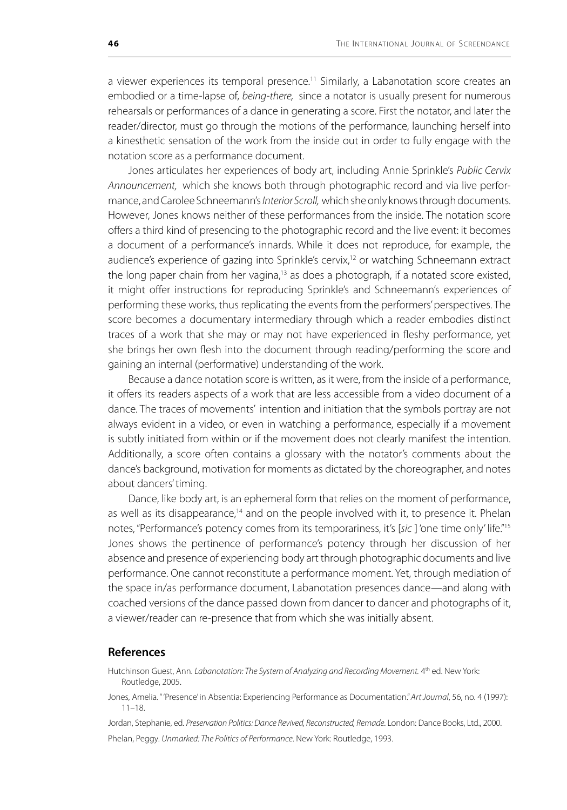a viewer experiences its temporal presence.<sup>11</sup> Similarly, a Labanotation score creates an embodied or a time-lapse of, *being-there,* since a notator is usually present for numerous rehearsals or performances of a dance in generating a score. First the notator, and later the reader/director, must go through the motions of the performance, launching herself into a kinesthetic sensation of the work from the inside out in order to fully engage with the notation score as a performance document.

Jones articulates her experiences of body art, including Annie Sprinkle's *Public Cervix Announcement,* which she knows both through photographic record and via live performance, and Carolee Schneemann's *Interior Scroll,* which she only knows through documents. However, Jones knows neither of these performances from the inside. The notation score offers a third kind of presencing to the photographic record and the live event: it becomes a document of a performance's innards. While it does not reproduce, for example, the audience's experience of gazing into Sprinkle's cervix,<sup>12</sup> or watching Schneemann extract the long paper chain from her vagina, $13$  as does a photograph, if a notated score existed, it might offer instructions for reproducing Sprinkle's and Schneemann's experiences of performing these works, thus replicating the events from the performers' perspectives. The score becomes a documentary intermediary through which a reader embodies distinct traces of a work that she may or may not have experienced in fleshy performance, yet she brings her own flesh into the document through reading/performing the score and gaining an internal (performative) understanding of the work.

Because a dance notation score is written, as it were, from the inside of a performance, it offers its readers aspects of a work that are less accessible from a video document of a dance. The traces of movements' intention and initiation that the symbols portray are not always evident in a video, or even in watching a performance, especially if a movement is subtly initiated from within or if the movement does not clearly manifest the intention. Additionally, a score often contains a glossary with the notator's comments about the dance's background, motivation for moments as dictated by the choreographer, and notes about dancers' timing.

Dance, like body art, is an ephemeral form that relies on the moment of performance, as well as its disappearance,<sup>14</sup> and on the people involved with it, to presence it. Phelan notes, "Performance's potency comes from its temporariness, it's [*sic* ] 'one time only' life."15 Jones shows the pertinence of performance's potency through her discussion of her absence and presence of experiencing body art through photographic documents and live performance. One cannot reconstitute a performance moment. Yet, through mediation of the space in/as performance document, Labanotation presences dance—and along with coached versions of the dance passed down from dancer to dancer and photographs of it, a viewer/reader can re-presence that from which she was initially absent.

## **References**

- Hutchinson Guest, Ann. *Labanotation: The System of Analyzing and Recording Movement*. 4<sup>th</sup> ed. New York: Routledge, 2005.
- Jones, Amelia. " 'Presence' in Absentia: Experiencing Performance as Documentation." *Art Journal*, 56, no. 4 (1997): 11–18.

Jordan, Stephanie, ed. *Preservation Politics: Dance Revived, Reconstructed, Remade*. London: Dance Books, Ltd., 2000. Phelan, Peggy. *Unmarked: The Politics of Performance*. New York: Routledge, 1993.